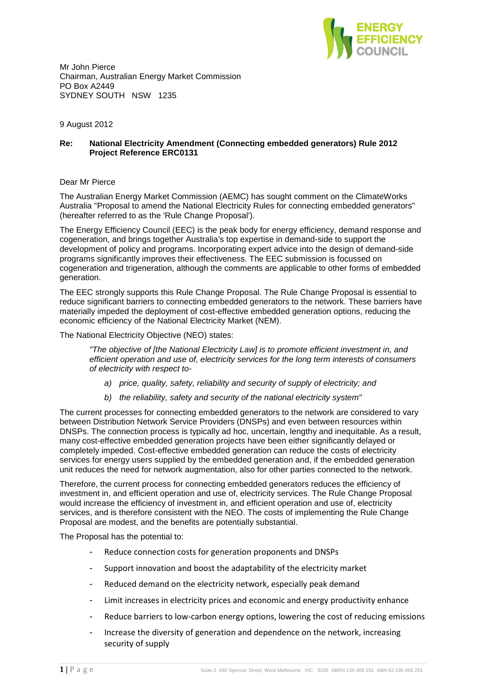

Mr John Pierce Chairman, Australian Energy Market Commission PO Box A2449 SYDNEY SOUTH NSW 1235

9 August 2012

# **Re: National Electricity Amendment (Connecting embedded generators) Rule 2012 Project Reference ERC0131**

# Dear Mr Pierce

The Australian Energy Market Commission (AEMC) has sought comment on the ClimateWorks Australia "Proposal to amend the National Electricity Rules for connecting embedded generators" (hereafter referred to as the 'Rule Change Proposal').

The Energy Efficiency Council (EEC) is the peak body for energy efficiency, demand response and cogeneration, and brings together Australia's top expertise in demand-side to support the development of policy and programs. Incorporating expert advice into the design of demand-side programs significantly improves their effectiveness. The EEC submission is focussed on cogeneration and trigeneration, although the comments are applicable to other forms of embedded generation.

The EEC strongly supports this Rule Change Proposal. The Rule Change Proposal is essential to reduce significant barriers to connecting embedded generators to the network. These barriers have materially impeded the deployment of cost-effective embedded generation options, reducing the economic efficiency of the National Electricity Market (NEM).

The National Electricity Objective (NEO) states:

"The objective of [the National Electricity Law] is to promote efficient investment in, and efficient operation and use of, electricity services for the long term interests of consumers of electricity with respect to-

- a) price, quality, safety, reliability and security of supply of electricity; and
- b) the reliability, safety and security of the national electricity system"

The current processes for connecting embedded generators to the network are considered to vary between Distribution Network Service Providers (DNSPs) and even between resources within DNSPs. The connection process is typically ad hoc, uncertain, lengthy and inequitable. As a result, many cost-effective embedded generation projects have been either significantly delayed or completely impeded. Cost-effective embedded generation can reduce the costs of electricity services for energy users supplied by the embedded generation and, if the embedded generation unit reduces the need for network augmentation, also for other parties connected to the network.

Therefore, the current process for connecting embedded generators reduces the efficiency of investment in, and efficient operation and use of, electricity services. The Rule Change Proposal would increase the efficiency of investment in, and efficient operation and use of, electricity services, and is therefore consistent with the NEO. The costs of implementing the Rule Change Proposal are modest, and the benefits are potentially substantial.

The Proposal has the potential to:

- Reduce connection costs for generation proponents and DNSPs
- Support innovation and boost the adaptability of the electricity market
- Reduced demand on the electricity network, especially peak demand
- Limit increases in electricity prices and economic and energy productivity enhance
- Reduce barriers to low-carbon energy options, lowering the cost of reducing emissions
- Increase the diversity of generation and dependence on the network, increasing security of supply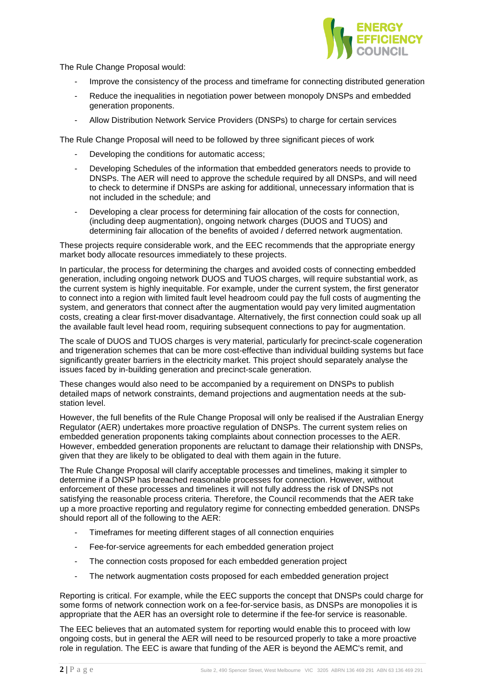

The Rule Change Proposal would:

- Improve the consistency of the process and timeframe for connecting distributed generation
- Reduce the inequalities in negotiation power between monopoly DNSPs and embedded generation proponents.
- Allow Distribution Network Service Providers (DNSPs) to charge for certain services

The Rule Change Proposal will need to be followed by three significant pieces of work

- Developing the conditions for automatic access;
- Developing Schedules of the information that embedded generators needs to provide to DNSPs. The AER will need to approve the schedule required by all DNSPs, and will need to check to determine if DNSPs are asking for additional, unnecessary information that is not included in the schedule; and
- Developing a clear process for determining fair allocation of the costs for connection, (including deep augmentation), ongoing network charges (DUOS and TUOS) and determining fair allocation of the benefits of avoided / deferred network augmentation.

These projects require considerable work, and the EEC recommends that the appropriate energy market body allocate resources immediately to these projects.

In particular, the process for determining the charges and avoided costs of connecting embedded generation, including ongoing network DUOS and TUOS charges, will require substantial work, as the current system is highly inequitable. For example, under the current system, the first generator to connect into a region with limited fault level headroom could pay the full costs of augmenting the system, and generators that connect after the augmentation would pay very limited augmentation costs, creating a clear first-mover disadvantage. Alternatively, the first connection could soak up all the available fault level head room, requiring subsequent connections to pay for augmentation.

The scale of DUOS and TUOS charges is very material, particularly for precinct-scale cogeneration and trigeneration schemes that can be more cost-effective than individual building systems but face significantly greater barriers in the electricity market. This project should separately analyse the issues faced by in-building generation and precinct-scale generation.

These changes would also need to be accompanied by a requirement on DNSPs to publish detailed maps of network constraints, demand projections and augmentation needs at the substation level.

However, the full benefits of the Rule Change Proposal will only be realised if the Australian Energy Regulator (AER) undertakes more proactive regulation of DNSPs. The current system relies on embedded generation proponents taking complaints about connection processes to the AER. However, embedded generation proponents are reluctant to damage their relationship with DNSPs, given that they are likely to be obligated to deal with them again in the future.

The Rule Change Proposal will clarify acceptable processes and timelines, making it simpler to determine if a DNSP has breached reasonable processes for connection. However, without enforcement of these processes and timelines it will not fully address the risk of DNSPs not satisfying the reasonable process criteria. Therefore, the Council recommends that the AER take up a more proactive reporting and regulatory regime for connecting embedded generation. DNSPs should report all of the following to the AER:

- Timeframes for meeting different stages of all connection enquiries
- Fee-for-service agreements for each embedded generation project
- The connection costs proposed for each embedded generation project
- The network augmentation costs proposed for each embedded generation project

Reporting is critical. For example, while the EEC supports the concept that DNSPs could charge for some forms of network connection work on a fee-for-service basis, as DNSPs are monopolies it is appropriate that the AER has an oversight role to determine if the fee-for service is reasonable.

The EEC believes that an automated system for reporting would enable this to proceed with low ongoing costs, but in general the AER will need to be resourced properly to take a more proactive role in regulation. The EEC is aware that funding of the AER is beyond the AEMC's remit, and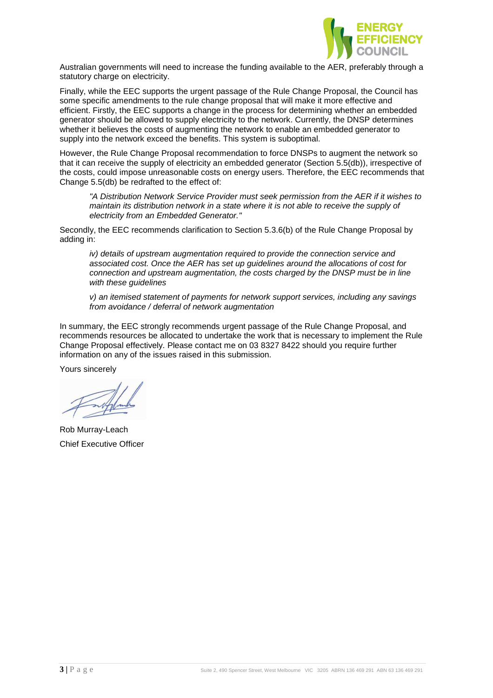

Australian governments will need to increase the funding available to the AER, preferably through a statutory charge on electricity.

Finally, while the EEC supports the urgent passage of the Rule Change Proposal, the Council has some specific amendments to the rule change proposal that will make it more effective and efficient. Firstly, the EEC supports a change in the process for determining whether an embedded generator should be allowed to supply electricity to the network. Currently, the DNSP determines whether it believes the costs of augmenting the network to enable an embedded generator to supply into the network exceed the benefits. This system is suboptimal.

However, the Rule Change Proposal recommendation to force DNSPs to augment the network so that it can receive the supply of electricity an embedded generator (Section 5.5(db)), irrespective of the costs, could impose unreasonable costs on energy users. Therefore, the EEC recommends that Change 5.5(db) be redrafted to the effect of:

"A Distribution Network Service Provider must seek permission from the AER if it wishes to maintain its distribution network in a state where it is not able to receive the supply of electricity from an Embedded Generator."

Secondly, the EEC recommends clarification to Section 5.3.6(b) of the Rule Change Proposal by adding in:

iv) details of upstream augmentation required to provide the connection service and associated cost. Once the AER has set up guidelines around the allocations of cost for connection and upstream augmentation, the costs charged by the DNSP must be in line with these guidelines

v) an itemised statement of payments for network support services, including any savings from avoidance / deferral of network augmentation

In summary, the EEC strongly recommends urgent passage of the Rule Change Proposal, and recommends resources be allocated to undertake the work that is necessary to implement the Rule Change Proposal effectively. Please contact me on 03 8327 8422 should you require further information on any of the issues raised in this submission.

Yours sincerely

Rob Murray-Leach Chief Executive Officer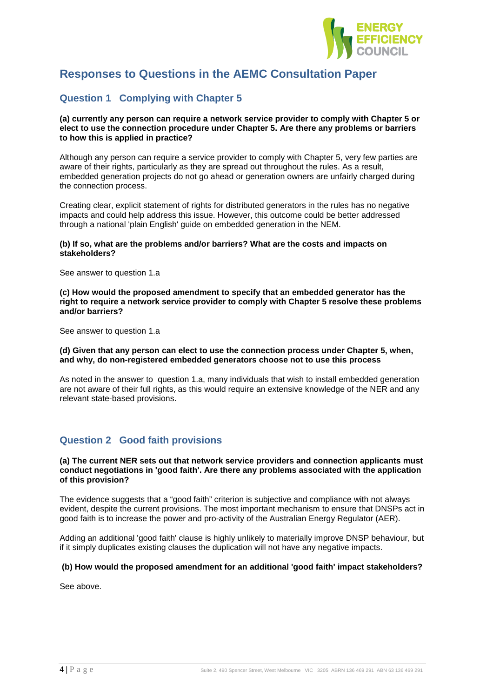

# **Responses to Questions in the AEMC Consultation Paper**

# **Question 1 Complying with Chapter 5**

**(a) currently any person can require a network service provider to comply with Chapter 5 or elect to use the connection procedure under Chapter 5. Are there any problems or barriers to how this is applied in practice?** 

Although any person can require a service provider to comply with Chapter 5, very few parties are aware of their rights, particularly as they are spread out throughout the rules. As a result, embedded generation projects do not go ahead or generation owners are unfairly charged during the connection process.

Creating clear, explicit statement of rights for distributed generators in the rules has no negative impacts and could help address this issue. However, this outcome could be better addressed through a national 'plain English' guide on embedded generation in the NEM.

## **(b) If so, what are the problems and/or barriers? What are the costs and impacts on stakeholders?**

See answer to question 1.a

**(c) How would the proposed amendment to specify that an embedded generator has the right to require a network service provider to comply with Chapter 5 resolve these problems and/or barriers?** 

See answer to question 1.a

**(d) Given that any person can elect to use the connection process under Chapter 5, when, and why, do non-registered embedded generators choose not to use this process** 

As noted in the answer to question 1.a, many individuals that wish to install embedded generation are not aware of their full rights, as this would require an extensive knowledge of the NER and any relevant state-based provisions.

# **Question 2 Good faith provisions**

## **(a) The current NER sets out that network service providers and connection applicants must conduct negotiations in 'good faith'. Are there any problems associated with the application of this provision?**

The evidence suggests that a "good faith" criterion is subjective and compliance with not always evident, despite the current provisions. The most important mechanism to ensure that DNSPs act in good faith is to increase the power and pro-activity of the Australian Energy Regulator (AER).

Adding an additional 'good faith' clause is highly unlikely to materially improve DNSP behaviour, but if it simply duplicates existing clauses the duplication will not have any negative impacts.

# **(b) How would the proposed amendment for an additional 'good faith' impact stakeholders?**

See above.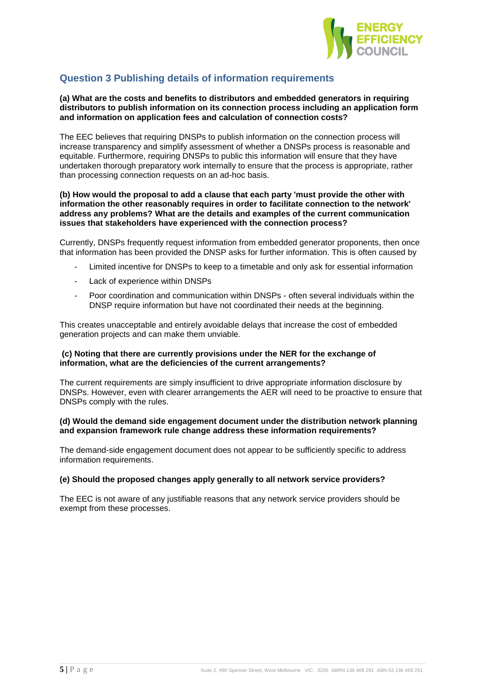

# **Question 3 Publishing details of information requirements**

## **(a) What are the costs and benefits to distributors and embedded generators in requiring distributors to publish information on its connection process including an application form and information on application fees and calculation of connection costs?**

The EEC believes that requiring DNSPs to publish information on the connection process will increase transparency and simplify assessment of whether a DNSPs process is reasonable and equitable. Furthermore, requiring DNSPs to public this information will ensure that they have undertaken thorough preparatory work internally to ensure that the process is appropriate, rather than processing connection requests on an ad-hoc basis.

## **(b) How would the proposal to add a clause that each party 'must provide the other with information the other reasonably requires in order to facilitate connection to the network' address any problems? What are the details and examples of the current communication issues that stakeholders have experienced with the connection process?**

Currently, DNSPs frequently request information from embedded generator proponents, then once that information has been provided the DNSP asks for further information. This is often caused by

- Limited incentive for DNSPs to keep to a timetable and only ask for essential information
- Lack of experience within DNSPs
- Poor coordination and communication within DNSPs often several individuals within the DNSP require information but have not coordinated their needs at the beginning.

This creates unacceptable and entirely avoidable delays that increase the cost of embedded generation projects and can make them unviable.

## **(c) Noting that there are currently provisions under the NER for the exchange of information, what are the deficiencies of the current arrangements?**

The current requirements are simply insufficient to drive appropriate information disclosure by DNSPs. However, even with clearer arrangements the AER will need to be proactive to ensure that DNSPs comply with the rules.

# **(d) Would the demand side engagement document under the distribution network planning and expansion framework rule change address these information requirements?**

The demand-side engagement document does not appear to be sufficiently specific to address information requirements.

# **(e) Should the proposed changes apply generally to all network service providers?**

The EEC is not aware of any justifiable reasons that any network service providers should be exempt from these processes.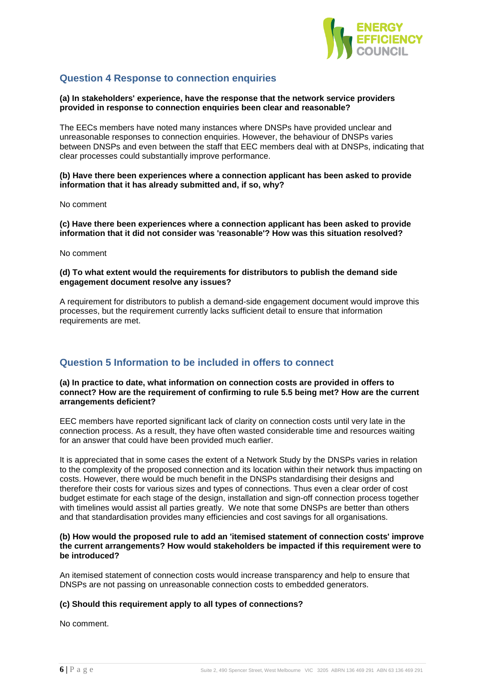

# **Question 4 Response to connection enquiries**

## **(a) In stakeholders' experience, have the response that the network service providers provided in response to connection enquiries been clear and reasonable?**

The EECs members have noted many instances where DNSPs have provided unclear and unreasonable responses to connection enquiries. However, the behaviour of DNSPs varies between DNSPs and even between the staff that EEC members deal with at DNSPs, indicating that clear processes could substantially improve performance.

## **(b) Have there been experiences where a connection applicant has been asked to provide information that it has already submitted and, if so, why?**

No comment

**(c) Have there been experiences where a connection applicant has been asked to provide information that it did not consider was 'reasonable'? How was this situation resolved?** 

No comment

# **(d) To what extent would the requirements for distributors to publish the demand side engagement document resolve any issues?**

A requirement for distributors to publish a demand-side engagement document would improve this processes, but the requirement currently lacks sufficient detail to ensure that information requirements are met.

# **Question 5 Information to be included in offers to connect**

## **(a) In practice to date, what information on connection costs are provided in offers to connect? How are the requirement of confirming to rule 5.5 being met? How are the current arrangements deficient?**

EEC members have reported significant lack of clarity on connection costs until very late in the connection process. As a result, they have often wasted considerable time and resources waiting for an answer that could have been provided much earlier.

It is appreciated that in some cases the extent of a Network Study by the DNSPs varies in relation to the complexity of the proposed connection and its location within their network thus impacting on costs. However, there would be much benefit in the DNSPs standardising their designs and therefore their costs for various sizes and types of connections. Thus even a clear order of cost budget estimate for each stage of the design, installation and sign-off connection process together with timelines would assist all parties greatly. We note that some DNSPs are better than others and that standardisation provides many efficiencies and cost savings for all organisations.

## **(b) How would the proposed rule to add an 'itemised statement of connection costs' improve the current arrangements? How would stakeholders be impacted if this requirement were to be introduced?**

An itemised statement of connection costs would increase transparency and help to ensure that DNSPs are not passing on unreasonable connection costs to embedded generators.

# **(c) Should this requirement apply to all types of connections?**

No comment.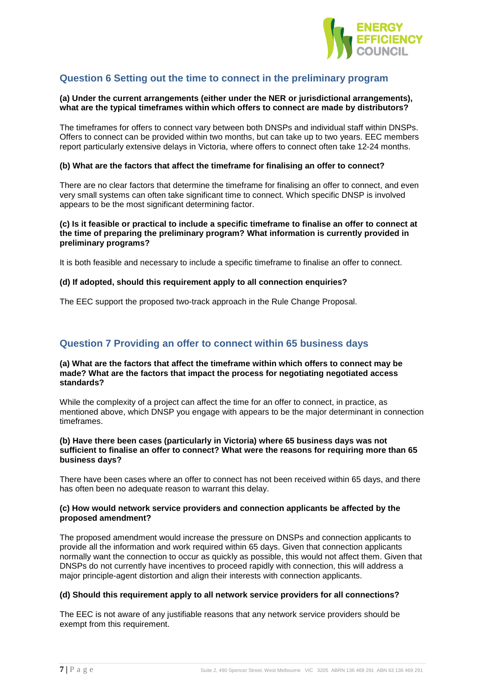

# **Question 6 Setting out the time to connect in the preliminary program**

## **(a) Under the current arrangements (either under the NER or jurisdictional arrangements), what are the typical timeframes within which offers to connect are made by distributors?**

The timeframes for offers to connect vary between both DNSPs and individual staff within DNSPs. Offers to connect can be provided within two months, but can take up to two years. EEC members report particularly extensive delays in Victoria, where offers to connect often take 12-24 months.

#### **(b) What are the factors that affect the timeframe for finalising an offer to connect?**

There are no clear factors that determine the timeframe for finalising an offer to connect, and even very small systems can often take significant time to connect. Which specific DNSP is involved appears to be the most significant determining factor.

## **(c) Is it feasible or practical to include a specific timeframe to finalise an offer to connect at the time of preparing the preliminary program? What information is currently provided in preliminary programs?**

It is both feasible and necessary to include a specific timeframe to finalise an offer to connect.

#### **(d) If adopted, should this requirement apply to all connection enquiries?**

The EEC support the proposed two-track approach in the Rule Change Proposal.

# **Question 7 Providing an offer to connect within 65 business days**

## **(a) What are the factors that affect the timeframe within which offers to connect may be made? What are the factors that impact the process for negotiating negotiated access standards?**

While the complexity of a project can affect the time for an offer to connect, in practice, as mentioned above, which DNSP you engage with appears to be the major determinant in connection timeframes.

## **(b) Have there been cases (particularly in Victoria) where 65 business days was not sufficient to finalise an offer to connect? What were the reasons for requiring more than 65 business days?**

There have been cases where an offer to connect has not been received within 65 days, and there has often been no adequate reason to warrant this delay.

## **(c) How would network service providers and connection applicants be affected by the proposed amendment?**

The proposed amendment would increase the pressure on DNSPs and connection applicants to provide all the information and work required within 65 days. Given that connection applicants normally want the connection to occur as quickly as possible, this would not affect them. Given that DNSPs do not currently have incentives to proceed rapidly with connection, this will address a major principle-agent distortion and align their interests with connection applicants.

## **(d) Should this requirement apply to all network service providers for all connections?**

The EEC is not aware of any justifiable reasons that any network service providers should be exempt from this requirement.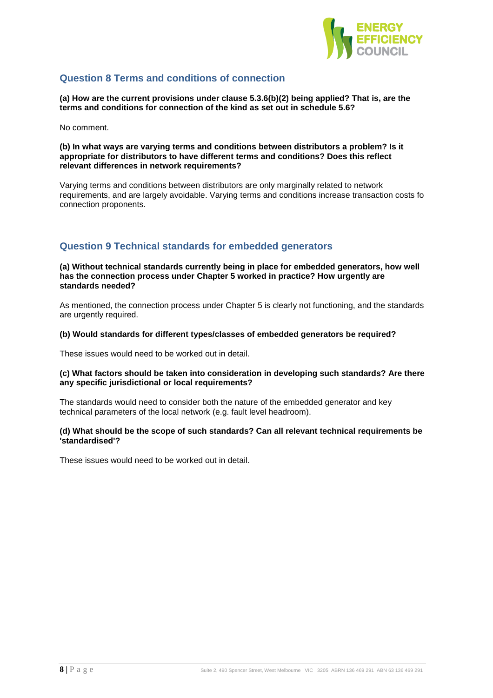

# **Question 8 Terms and conditions of connection**

**(a) How are the current provisions under clause 5.3.6(b)(2) being applied? That is, are the terms and conditions for connection of the kind as set out in schedule 5.6?** 

No comment.

## **(b) In what ways are varying terms and conditions between distributors a problem? Is it appropriate for distributors to have different terms and conditions? Does this reflect relevant differences in network requirements?**

Varying terms and conditions between distributors are only marginally related to network requirements, and are largely avoidable. Varying terms and conditions increase transaction costs fo connection proponents.

# **Question 9 Technical standards for embedded generators**

#### **(a) Without technical standards currently being in place for embedded generators, how well has the connection process under Chapter 5 worked in practice? How urgently are standards needed?**

As mentioned, the connection process under Chapter 5 is clearly not functioning, and the standards are urgently required.

# **(b) Would standards for different types/classes of embedded generators be required?**

These issues would need to be worked out in detail.

# **(c) What factors should be taken into consideration in developing such standards? Are there any specific jurisdictional or local requirements?**

The standards would need to consider both the nature of the embedded generator and key technical parameters of the local network (e.g. fault level headroom).

# **(d) What should be the scope of such standards? Can all relevant technical requirements be 'standardised'?**

These issues would need to be worked out in detail.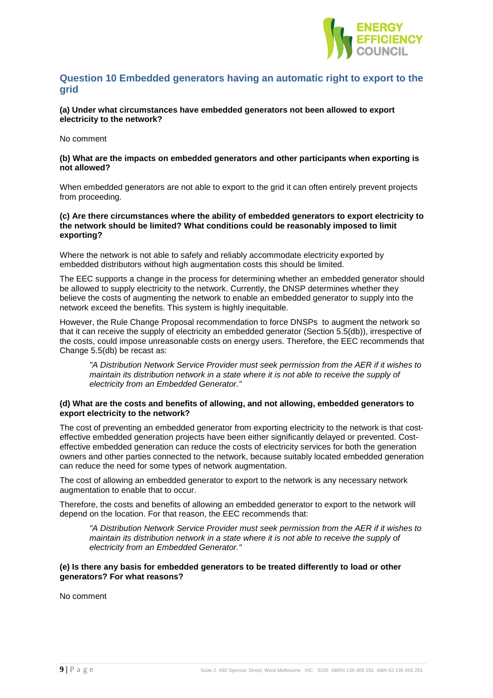

# **Question 10 Embedded generators having an automatic right to export to the grid**

**(a) Under what circumstances have embedded generators not been allowed to export electricity to the network?** 

No comment

## **(b) What are the impacts on embedded generators and other participants when exporting is not allowed?**

When embedded generators are not able to export to the grid it can often entirely prevent projects from proceeding.

## **(c) Are there circumstances where the ability of embedded generators to export electricity to the network should be limited? What conditions could be reasonably imposed to limit exporting?**

Where the network is not able to safely and reliably accommodate electricity exported by embedded distributors without high augmentation costs this should be limited.

The EEC supports a change in the process for determining whether an embedded generator should be allowed to supply electricity to the network. Currently, the DNSP determines whether they believe the costs of augmenting the network to enable an embedded generator to supply into the network exceed the benefits. This system is highly inequitable.

However, the Rule Change Proposal recommendation to force DNSPs to augment the network so that it can receive the supply of electricity an embedded generator (Section 5.5(db)), irrespective of the costs, could impose unreasonable costs on energy users. Therefore, the EEC recommends that Change 5.5(db) be recast as:

"A Distribution Network Service Provider must seek permission from the AER if it wishes to maintain its distribution network in a state where it is not able to receive the supply of electricity from an Embedded Generator."

## **(d) What are the costs and benefits of allowing, and not allowing, embedded generators to export electricity to the network?**

The cost of preventing an embedded generator from exporting electricity to the network is that costeffective embedded generation projects have been either significantly delayed or prevented. Costeffective embedded generation can reduce the costs of electricity services for both the generation owners and other parties connected to the network, because suitably located embedded generation can reduce the need for some types of network augmentation.

The cost of allowing an embedded generator to export to the network is any necessary network augmentation to enable that to occur.

Therefore, the costs and benefits of allowing an embedded generator to export to the network will depend on the location. For that reason, the EEC recommends that:

"A Distribution Network Service Provider must seek permission from the AER if it wishes to maintain its distribution network in a state where it is not able to receive the supply of electricity from an Embedded Generator."

## **(e) Is there any basis for embedded generators to be treated differently to load or other generators? For what reasons?**

No comment